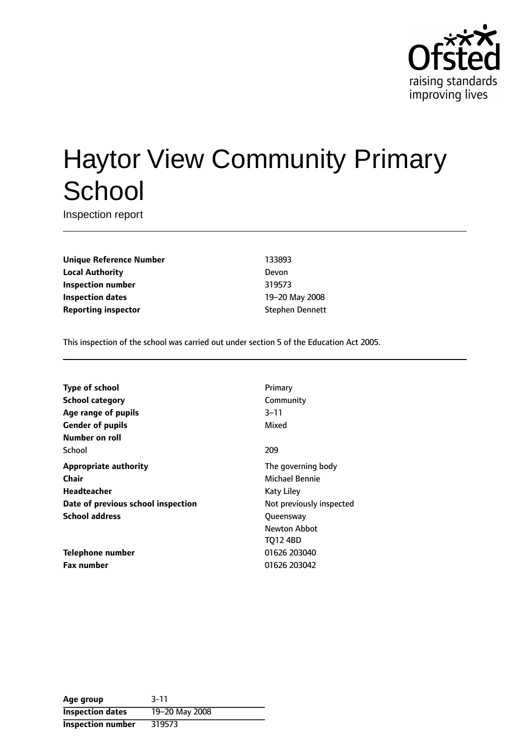

# Haytor View Community Primary **School**

Inspection report

**Unique Reference Number** 133893 **Local Authority** Devon **Inspection number** 319573 **Inspection dates** 19-20 May 2008 **Reporting inspector** Stephen Dennett

This inspection of the school was carried out under section 5 of the Education Act 2005.

| <b>Type of school</b>              | Primary                  |
|------------------------------------|--------------------------|
| <b>School category</b>             | Community                |
| Age range of pupils                | 3–11                     |
| <b>Gender of pupils</b>            | Mixed                    |
| Number on roll                     |                          |
| School                             | 209                      |
| <b>Appropriate authority</b>       | The governing body       |
| Chair                              | Michael Bennie           |
| Headteacher                        | Katy Liley               |
| Date of previous school inspection | Not previously inspected |
| <b>School address</b>              | Queensway                |
|                                    | <b>Newton Abbot</b>      |
|                                    | <b>TO12 4BD</b>          |
| Telephone number                   | 01626 203040             |

**Fax number** 01626 203042

**Age group** 3-11 **Inspection dates** 19-20 May 2008 **Inspection number** 319573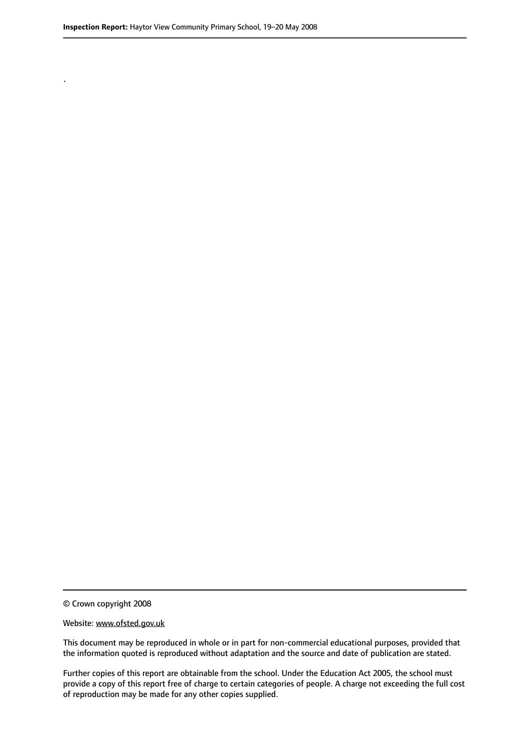.

© Crown copyright 2008

#### Website: www.ofsted.gov.uk

This document may be reproduced in whole or in part for non-commercial educational purposes, provided that the information quoted is reproduced without adaptation and the source and date of publication are stated.

Further copies of this report are obtainable from the school. Under the Education Act 2005, the school must provide a copy of this report free of charge to certain categories of people. A charge not exceeding the full cost of reproduction may be made for any other copies supplied.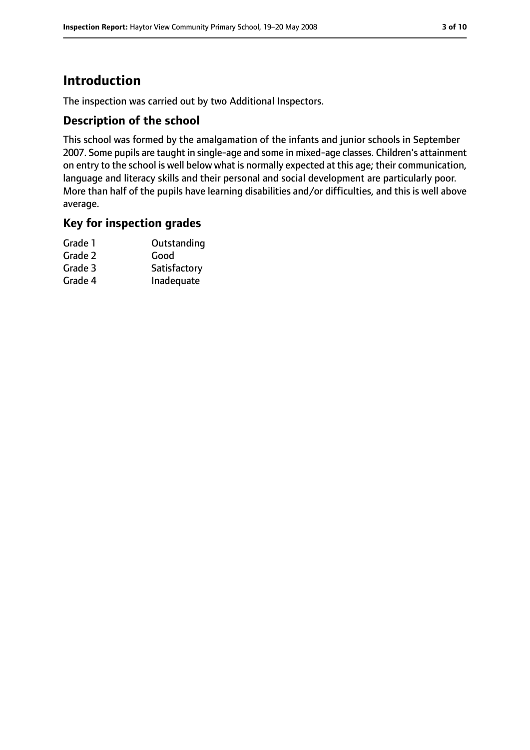# **Introduction**

The inspection was carried out by two Additional Inspectors.

## **Description of the school**

This school was formed by the amalgamation of the infants and junior schools in September 2007. Some pupils are taught in single-age and some in mixed-age classes. Children's attainment on entry to the school is well below what is normally expected at this age; their communication, language and literacy skills and their personal and social development are particularly poor. More than half of the pupils have learning disabilities and/or difficulties, and this is well above average.

## **Key for inspection grades**

| Grade 1 | Outstanding  |
|---------|--------------|
| Grade 2 | Good         |
| Grade 3 | Satisfactory |
| Grade 4 | Inadequate   |
|         |              |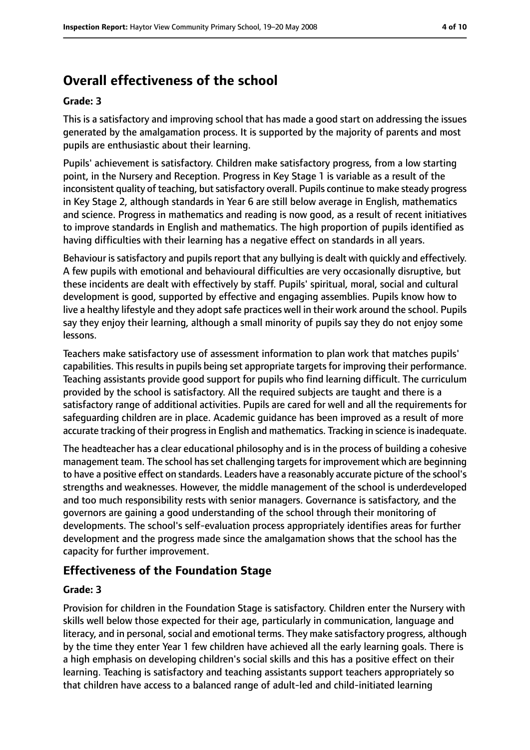# **Overall effectiveness of the school**

#### **Grade: 3**

This is a satisfactory and improving school that has made a good start on addressing the issues generated by the amalgamation process. It is supported by the majority of parents and most pupils are enthusiastic about their learning.

Pupils' achievement is satisfactory. Children make satisfactory progress, from a low starting point, in the Nursery and Reception. Progress in Key Stage 1 is variable as a result of the inconsistent quality of teaching, but satisfactory overall. Pupils continue to make steady progress in Key Stage 2, although standards in Year 6 are still below average in English, mathematics and science. Progress in mathematics and reading is now good, as a result of recent initiatives to improve standards in English and mathematics. The high proportion of pupils identified as having difficulties with their learning has a negative effect on standards in all years.

Behaviour is satisfactory and pupils report that any bullying is dealt with quickly and effectively. A few pupils with emotional and behavioural difficulties are very occasionally disruptive, but these incidents are dealt with effectively by staff. Pupils' spiritual, moral, social and cultural development is good, supported by effective and engaging assemblies. Pupils know how to live a healthy lifestyle and they adopt safe practices well in their work around the school. Pupils say they enjoy their learning, although a small minority of pupils say they do not enjoy some lessons.

Teachers make satisfactory use of assessment information to plan work that matches pupils' capabilities. This results in pupils being set appropriate targets for improving their performance. Teaching assistants provide good support for pupils who find learning difficult. The curriculum provided by the school is satisfactory. All the required subjects are taught and there is a satisfactory range of additional activities. Pupils are cared for well and all the requirements for safeguarding children are in place. Academic guidance has been improved as a result of more accurate tracking of their progress in English and mathematics. Tracking in science is inadequate.

The headteacher has a clear educational philosophy and is in the process of building a cohesive management team. The school has set challenging targets for improvement which are beginning to have a positive effect on standards. Leaders have a reasonably accurate picture of the school's strengths and weaknesses. However, the middle management of the school is underdeveloped and too much responsibility rests with senior managers. Governance is satisfactory, and the governors are gaining a good understanding of the school through their monitoring of developments. The school's self-evaluation process appropriately identifies areas for further development and the progress made since the amalgamation shows that the school has the capacity for further improvement.

## **Effectiveness of the Foundation Stage**

#### **Grade: 3**

Provision for children in the Foundation Stage is satisfactory. Children enter the Nursery with skills well below those expected for their age, particularly in communication, language and literacy, and in personal, social and emotional terms. They make satisfactory progress, although by the time they enter Year 1 few children have achieved all the early learning goals. There is a high emphasis on developing children's social skills and this has a positive effect on their learning. Teaching is satisfactory and teaching assistants support teachers appropriately so that children have access to a balanced range of adult-led and child-initiated learning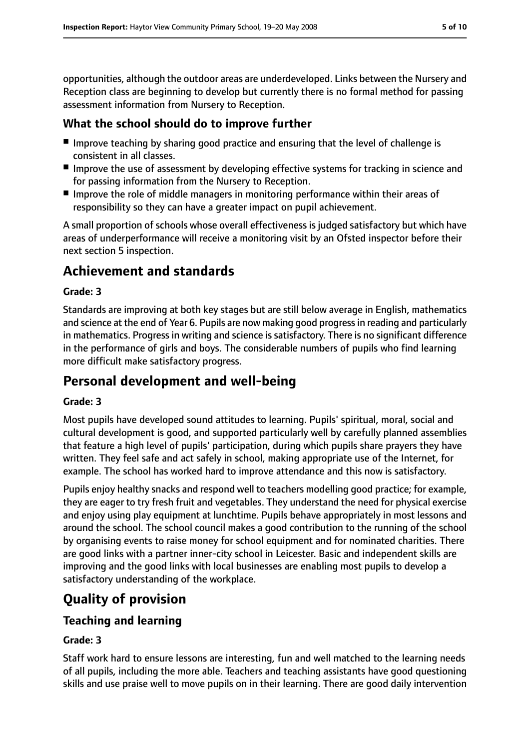opportunities, although the outdoor areas are underdeveloped. Links between the Nursery and Reception class are beginning to develop but currently there is no formal method for passing assessment information from Nursery to Reception.

# **What the school should do to improve further**

- Improve teaching by sharing good practice and ensuring that the level of challenge is consistent in all classes.
- Improve the use of assessment by developing effective systems for tracking in science and for passing information from the Nursery to Reception.
- Improve the role of middle managers in monitoring performance within their areas of responsibility so they can have a greater impact on pupil achievement.

A small proportion of schools whose overall effectiveness is judged satisfactory but which have areas of underperformance will receive a monitoring visit by an Ofsted inspector before their next section 5 inspection.

# **Achievement and standards**

## **Grade: 3**

Standards are improving at both key stages but are still below average in English, mathematics and science at the end of Year 6. Pupils are now making good progressin reading and particularly in mathematics. Progress in writing and science is satisfactory. There is no significant difference in the performance of girls and boys. The considerable numbers of pupils who find learning more difficult make satisfactory progress.

# **Personal development and well-being**

## **Grade: 3**

Most pupils have developed sound attitudes to learning. Pupils' spiritual, moral, social and cultural development is good, and supported particularly well by carefully planned assemblies that feature a high level of pupils' participation, during which pupils share prayers they have written. They feel safe and act safely in school, making appropriate use of the Internet, for example. The school has worked hard to improve attendance and this now is satisfactory.

Pupils enjoy healthy snacks and respond well to teachers modelling good practice; for example, they are eager to try fresh fruit and vegetables. They understand the need for physical exercise and enjoy using play equipment at lunchtime. Pupils behave appropriately in most lessons and around the school. The school council makes a good contribution to the running of the school by organising events to raise money for school equipment and for nominated charities. There are good links with a partner inner-city school in Leicester. Basic and independent skills are improving and the good links with local businesses are enabling most pupils to develop a satisfactory understanding of the workplace.

# **Quality of provision**

# **Teaching and learning**

## **Grade: 3**

Staff work hard to ensure lessons are interesting, fun and well matched to the learning needs of all pupils, including the more able. Teachers and teaching assistants have good questioning skills and use praise well to move pupils on in their learning. There are good daily intervention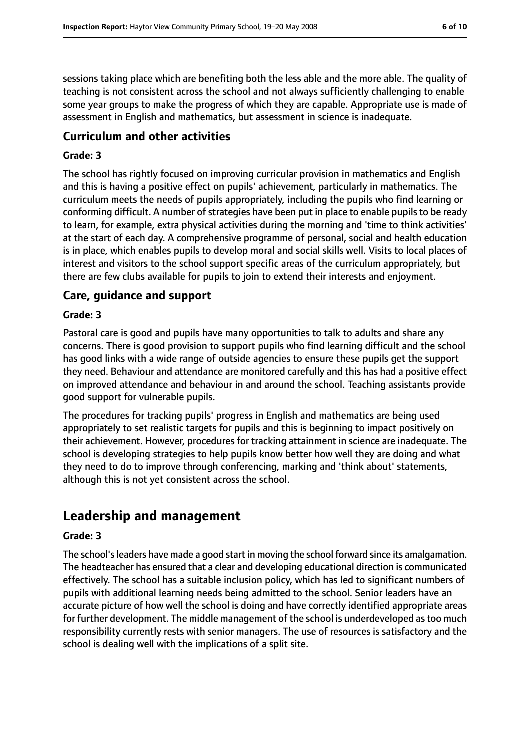sessions taking place which are benefiting both the less able and the more able. The quality of teaching is not consistent across the school and not always sufficiently challenging to enable some year groups to make the progress of which they are capable. Appropriate use is made of assessment in English and mathematics, but assessment in science is inadequate.

## **Curriculum and other activities**

#### **Grade: 3**

The school has rightly focused on improving curricular provision in mathematics and English and this is having a positive effect on pupils' achievement, particularly in mathematics. The curriculum meets the needs of pupils appropriately, including the pupils who find learning or conforming difficult. A number of strategies have been put in place to enable pupils to be ready to learn, for example, extra physical activities during the morning and 'time to think activities' at the start of each day. A comprehensive programme of personal, social and health education is in place, which enables pupils to develop moral and social skills well. Visits to local places of interest and visitors to the school support specific areas of the curriculum appropriately, but there are few clubs available for pupils to join to extend their interests and enjoyment.

## **Care, guidance and support**

#### **Grade: 3**

Pastoral care is good and pupils have many opportunities to talk to adults and share any concerns. There is good provision to support pupils who find learning difficult and the school has good links with a wide range of outside agencies to ensure these pupils get the support they need. Behaviour and attendance are monitored carefully and this has had a positive effect on improved attendance and behaviour in and around the school. Teaching assistants provide good support for vulnerable pupils.

The procedures for tracking pupils' progress in English and mathematics are being used appropriately to set realistic targets for pupils and this is beginning to impact positively on their achievement. However, procedures for tracking attainment in science are inadequate. The school is developing strategies to help pupils know better how well they are doing and what they need to do to improve through conferencing, marking and 'think about' statements, although this is not yet consistent across the school.

# **Leadership and management**

#### **Grade: 3**

The school's leaders have made a good start in moving the school forward since its amalgamation. The headteacher has ensured that a clear and developing educational direction is communicated effectively. The school has a suitable inclusion policy, which has led to significant numbers of pupils with additional learning needs being admitted to the school. Senior leaders have an accurate picture of how well the school is doing and have correctly identified appropriate areas for further development. The middle management of the school is underdeveloped astoo much responsibility currently rests with senior managers. The use of resources is satisfactory and the school is dealing well with the implications of a split site.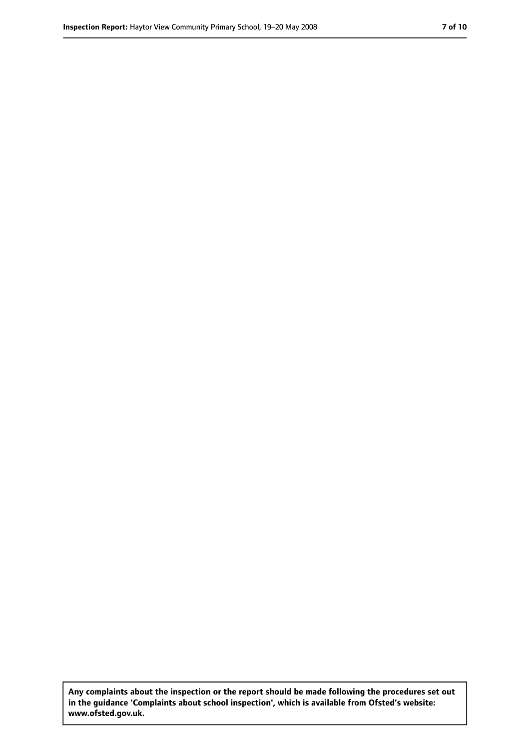**Any complaints about the inspection or the report should be made following the procedures set out in the guidance 'Complaints about school inspection', which is available from Ofsted's website: www.ofsted.gov.uk.**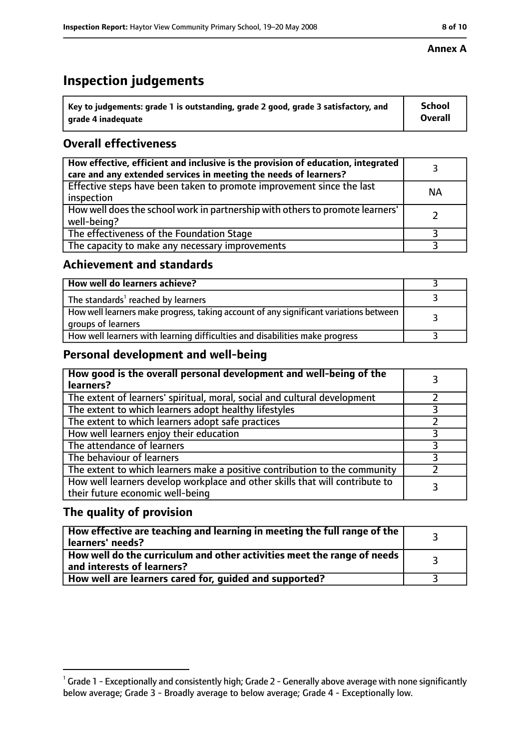# **Inspection judgements**

| $^{\backprime}$ Key to judgements: grade 1 is outstanding, grade 2 good, grade 3 satisfactory, and | <b>School</b>  |
|----------------------------------------------------------------------------------------------------|----------------|
| arade 4 inadeguate                                                                                 | <b>Overall</b> |

# **Overall effectiveness**

| How effective, efficient and inclusive is the provision of education, integrated<br>care and any extended services in meeting the needs of learners? |           |
|------------------------------------------------------------------------------------------------------------------------------------------------------|-----------|
| Effective steps have been taken to promote improvement since the last<br>inspection                                                                  | <b>NA</b> |
| How well does the school work in partnership with others to promote learners'<br>well-being?                                                         |           |
| The effectiveness of the Foundation Stage                                                                                                            |           |
| The capacity to make any necessary improvements                                                                                                      |           |

## **Achievement and standards**

| How well do learners achieve?                                                                               |  |
|-------------------------------------------------------------------------------------------------------------|--|
| The standards <sup>1</sup> reached by learners                                                              |  |
| How well learners make progress, taking account of any significant variations between<br>groups of learners |  |
| How well learners with learning difficulties and disabilities make progress                                 |  |

# **Personal development and well-being**

| How good is the overall personal development and well-being of the<br>learners?                                  |  |
|------------------------------------------------------------------------------------------------------------------|--|
| The extent of learners' spiritual, moral, social and cultural development                                        |  |
| The extent to which learners adopt healthy lifestyles                                                            |  |
| The extent to which learners adopt safe practices                                                                |  |
| How well learners enjoy their education                                                                          |  |
| The attendance of learners                                                                                       |  |
| The behaviour of learners                                                                                        |  |
| The extent to which learners make a positive contribution to the community                                       |  |
| How well learners develop workplace and other skills that will contribute to<br>their future economic well-being |  |

# **The quality of provision**

| How effective are teaching and learning in meeting the full range of the<br>learners' needs?          |  |
|-------------------------------------------------------------------------------------------------------|--|
| How well do the curriculum and other activities meet the range of needs<br>and interests of learners? |  |
| How well are learners cared for, guided and supported?                                                |  |

 $^1$  Grade 1 - Exceptionally and consistently high; Grade 2 - Generally above average with none significantly below average; Grade 3 - Broadly average to below average; Grade 4 - Exceptionally low.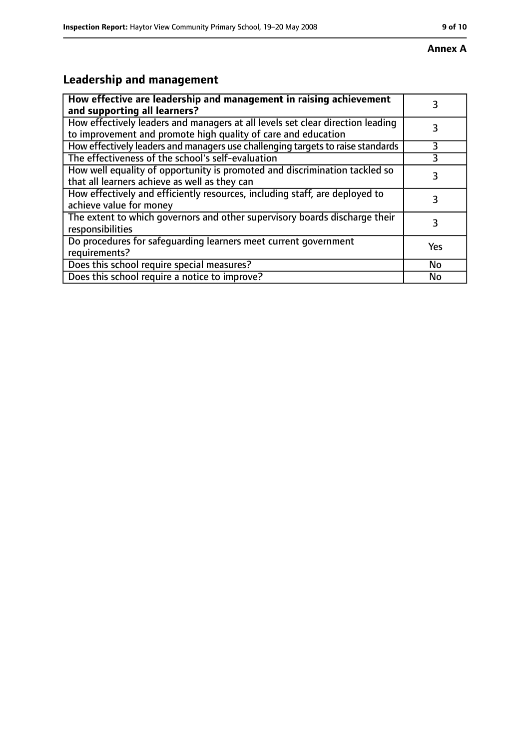#### **Annex A**

# **Leadership and management**

| How effective are leadership and management in raising achievement<br>and supporting all learners?                                              | 3   |
|-------------------------------------------------------------------------------------------------------------------------------------------------|-----|
| How effectively leaders and managers at all levels set clear direction leading<br>to improvement and promote high quality of care and education |     |
| How effectively leaders and managers use challenging targets to raise standards                                                                 | 3   |
| The effectiveness of the school's self-evaluation                                                                                               | 3   |
| How well equality of opportunity is promoted and discrimination tackled so<br>that all learners achieve as well as they can                     | 3   |
| How effectively and efficiently resources, including staff, are deployed to<br>achieve value for money                                          | 3   |
| The extent to which governors and other supervisory boards discharge their<br>responsibilities                                                  | 3   |
| Do procedures for safequarding learners meet current government<br>requirements?                                                                | Yes |
| Does this school require special measures?                                                                                                      | No  |
| Does this school require a notice to improve?                                                                                                   | No  |